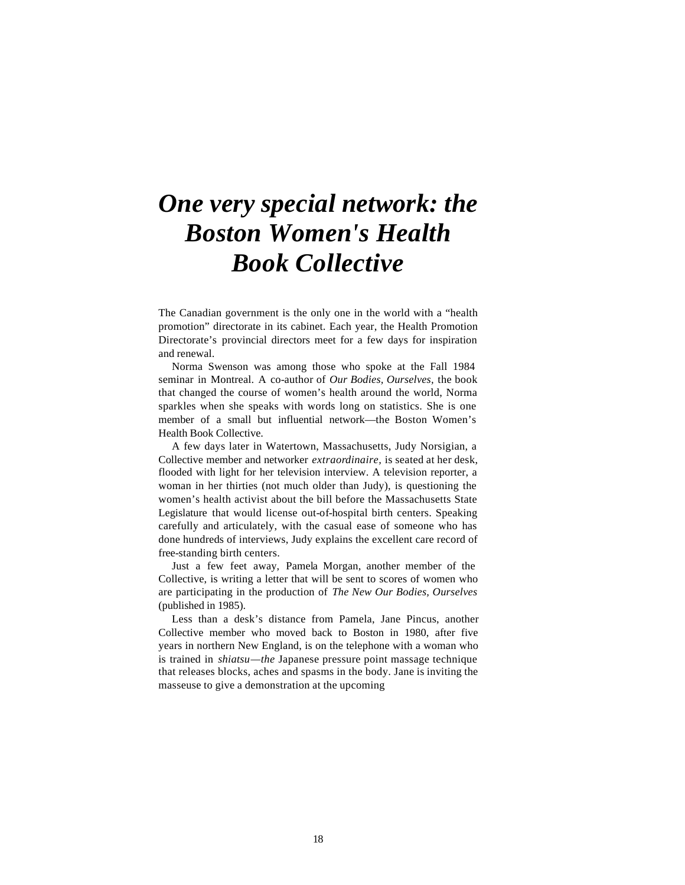## *One very special network: the Boston Women's Health Book Collective*

The Canadian government is the only one in the world with a "health promotion" directorate in its cabinet. Each year, the Health Promotion Directorate's provincial directors meet for a few days for inspiration and renewal.

Norma Swenson was among those who spoke at the Fall 1984 seminar in Montreal. A co-author of *Our Bodies, Ourselves,* the book that changed the course of women's health around the world, Norma sparkles when she speaks with words long on statistics. She is one member of a small but influential network—the Boston Women's Health Book Collective.

A few days later in Watertown, Massachusetts, Judy Norsigian, a Collective member and networker *extraordinaire,* is seated at her desk, flooded with light for her television interview. A television reporter, a woman in her thirties (not much older than Judy), is questioning the women's health activist about the bill before the Massachusetts State Legislature that would license out-of-hospital birth centers. Speaking carefully and articulately, with the casual ease of someone who has done hundreds of interviews, Judy explains the excellent care record of free-standing birth centers.

Just a few feet away, Pamela Morgan, another member of the Collective, is writing a letter that will be sent to scores of women who are participating in the production of *The New Our Bodies, Ourselves*  (published in 1985).

Less than a desk's distance from Pamela, Jane Pincus, another Collective member who moved back to Boston in 1980, after five years in northern New England, is on the telephone with a woman who is trained in *shiatsu—the* Japanese pressure point massage technique that releases blocks, aches and spasms in the body. Jane is inviting the masseuse to give a demonstration at the upcoming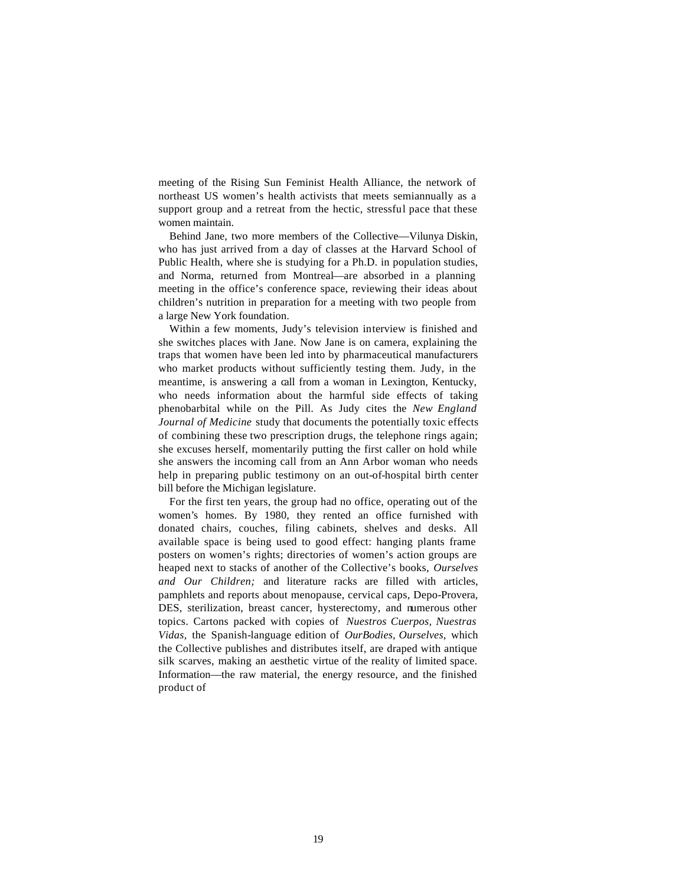meeting of the Rising Sun Feminist Health Alliance, the network of northeast US women's health activists that meets semiannually as a support group and a retreat from the hectic, stressful pace that these women maintain.

Behind Jane, two more members of the Collective—Vilunya Diskin, who has just arrived from a day of classes at the Harvard School of Public Health, where she is studying for a Ph.D. in population studies, and Norma, returned from Montreal—are absorbed in a planning meeting in the office's conference space, reviewing their ideas about children's nutrition in preparation for a meeting with two people from a large New York foundation.

Within a few moments, Judy's television interview is finished and she switches places with Jane. Now Jane is on camera, explaining the traps that women have been led into by pharmaceutical manufacturers who market products without sufficiently testing them. Judy, in the meantime, is answering a call from a woman in Lexington, Kentucky, who needs information about the harmful side effects of taking phenobarbital while on the Pill. As Judy cites the *New England Journal of Medicine* study that documents the potentially toxic effects of combining these two prescription drugs, the telephone rings again; she excuses herself, momentarily putting the first caller on hold while she answers the incoming call from an Ann Arbor woman who needs help in preparing public testimony on an out-of-hospital birth center bill before the Michigan legislature.

For the first ten years, the group had no office, operating out of the women's homes. By 1980, they rented an office furnished with donated chairs, couches, filing cabinets, shelves and desks. All available space is being used to good effect: hanging plants frame posters on women's rights; directories of women's action groups are heaped next to stacks of another of the Collective's books, *Ourselves and Our Children;* and literature racks are filled with articles, pamphlets and reports about menopause, cervical caps, Depo-Provera, DES, sterilization, breast cancer, hysterectomy, and numerous other topics. Cartons packed with copies of *Nuestros Cuerpos, Nuestras Vidas,* the Spanish-language edition of *OurBodies, Ourselves,* which the Collective publishes and distributes itself, are draped with antique silk scarves, making an aesthetic virtue of the reality of limited space. Information—the raw material, the energy resource, and the finished product of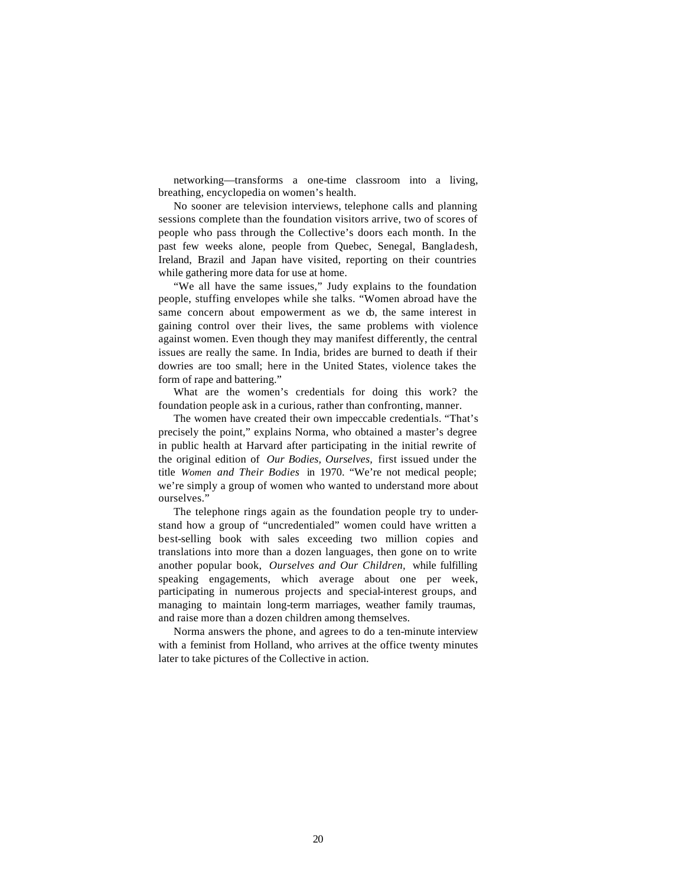networking—transforms a one-time classroom into a living, breathing, encyclopedia on women's health.

No sooner are television interviews, telephone calls and planning sessions complete than the foundation visitors arrive, two of scores of people who pass through the Collective's doors each month. In the past few weeks alone, people from Quebec, Senegal, Bangladesh, Ireland, Brazil and Japan have visited, reporting on their countries while gathering more data for use at home.

"We all have the same issues," Judy explains to the foundation people, stuffing envelopes while she talks. "Women abroad have the same concern about empowerment as we do, the same interest in gaining control over their lives, the same problems with violence against women. Even though they may manifest differently, the central issues are really the same. In India, brides are burned to death if their dowries are too small; here in the United States, violence takes the form of rape and battering."

What are the women's credentials for doing this work? the foundation people ask in a curious, rather than confronting, manner.

The women have created their own impeccable credentials. "That's precisely the point," explains Norma, who obtained a master's degree in public health at Harvard after participating in the initial rewrite of the original edition of *Our Bodies, Ourselves,* first issued under the title *Women and Their Bodies* in 1970. "We're not medical people; we're simply a group of women who wanted to understand more about ourselves."

The telephone rings again as the foundation people try to understand how a group of "uncredentialed" women could have written a best-selling book with sales exceeding two million copies and translations into more than a dozen languages, then gone on to write another popular book, *Ourselves and Our Children,* while fulfilling speaking engagements, which average about one per week, participating in numerous projects and special-interest groups, and managing to maintain long-term marriages, weather family traumas, and raise more than a dozen children among themselves.

Norma answers the phone, and agrees to do a ten-minute interview with a feminist from Holland, who arrives at the office twenty minutes later to take pictures of the Collective in action.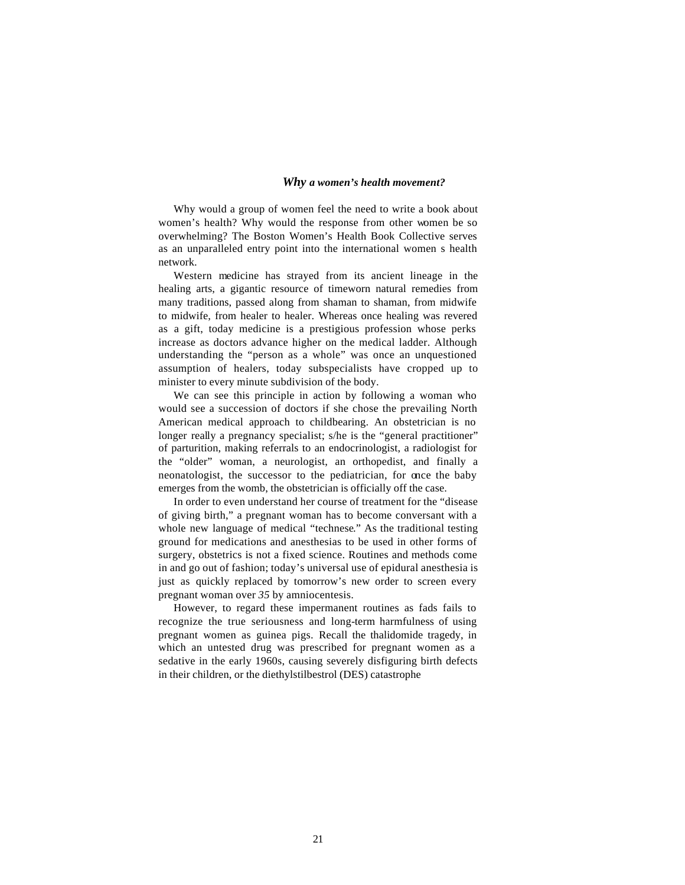## *Why a women's health movement?*

Why would a group of women feel the need to write a book about women's health? Why would the response from other women be so overwhelming? The Boston Women's Health Book Collective serves as an unparalleled entry point into the international women s health network.

Western medicine has strayed from its ancient lineage in the healing arts, a gigantic resource of timeworn natural remedies from many traditions, passed along from shaman to shaman, from midwife to midwife, from healer to healer. Whereas once healing was revered as a gift, today medicine is a prestigious profession whose perks increase as doctors advance higher on the medical ladder. Although understanding the "person as a whole" was once an unquestioned assumption of healers, today subspecialists have cropped up to minister to every minute subdivision of the body.

We can see this principle in action by following a woman who would see a succession of doctors if she chose the prevailing North American medical approach to childbearing. An obstetrician is no longer really a pregnancy specialist; s/he is the "general practitioner" of parturition, making referrals to an endocrinologist, a radiologist for the "older" woman, a neurologist, an orthopedist, and finally a neonatologist, the successor to the pediatrician, for once the baby emerges from the womb, the obstetrician is officially off the case.

In order to even understand her course of treatment for the "disease of giving birth," a pregnant woman has to become conversant with a whole new language of medical "technese." As the traditional testing ground for medications and anesthesias to be used in other forms of surgery, obstetrics is not a fixed science. Routines and methods come in and go out of fashion; today's universal use of epidural anesthesia is just as quickly replaced by tomorrow's new order to screen every pregnant woman over *35* by amniocentesis.

However, to regard these impermanent routines as fads fails to recognize the true seriousness and long-term harmfulness of using pregnant women as guinea pigs. Recall the thalidomide tragedy, in which an untested drug was prescribed for pregnant women as a sedative in the early 1960s, causing severely disfiguring birth defects in their children, or the diethylstilbestrol (DES) catastrophe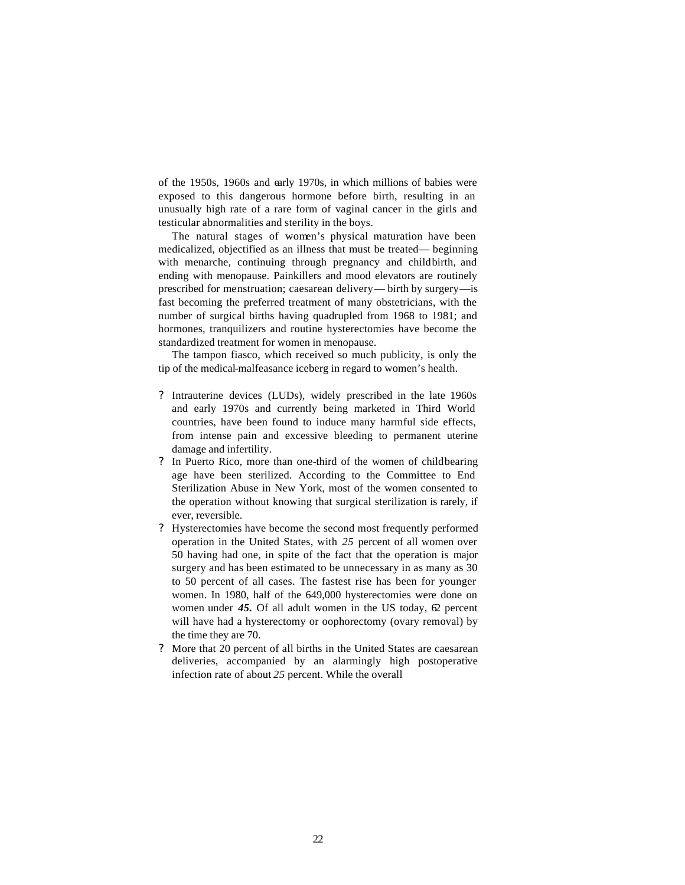of the 1950s, 1960s and early 1970s, in which millions of babies were exposed to this dangerous hormone before birth, resulting in an unusually high rate of a rare form of vaginal cancer in the girls and testicular abnormalities and sterility in the boys.

The natural stages of women's physical maturation have been medicalized, objectified as an illness that must be treated— beginning with menarche, continuing through pregnancy and childbirth, and ending with menopause. Painkillers and mood elevators are routinely prescribed for menstruation; caesarean delivery— birth by surgery—is fast becoming the preferred treatment of many obstetricians, with the number of surgical births having quadrupled from 1968 to 1981; and hormones, tranquilizers and routine hysterectomies have become the standardized treatment for women in menopause.

The tampon fiasco, which received so much publicity, is only the tip of the medical-malfeasance iceberg in regard to women's health.

- ? Intrauterine devices (LUDs), widely prescribed in the late 1960s and early 1970s and currently being marketed in Third World countries, have been found to induce many harmful side effects, from intense pain and excessive bleeding to permanent uterine damage and infertility.
- ? In Puerto Rico, more than one-third of the women of childbearing age have been sterilized. According to the Committee to End Sterilization Abuse in New York, most of the women consented to the operation without knowing that surgical sterilization is rarely, if ever, reversible.
- ? Hysterectomies have become the second most frequently performed operation in the United States, with *25* percent of all women over 50 having had one, in spite of the fact that the operation is major surgery and has been estimated to be unnecessary in as many as 30 to 50 percent of all cases. The fastest rise has been for younger women. In 1980, half of the 649,000 hysterectomies were done on women under  $45$ . Of all adult women in the US today,  $62$  percent will have had a hysterectomy or oophorectomy (ovary removal) by the time they are 70.
- ? More that 20 percent of all births in the United States are caesarean deliveries, accompanied by an alarmingly high postoperative infection rate of about *25* percent. While the overall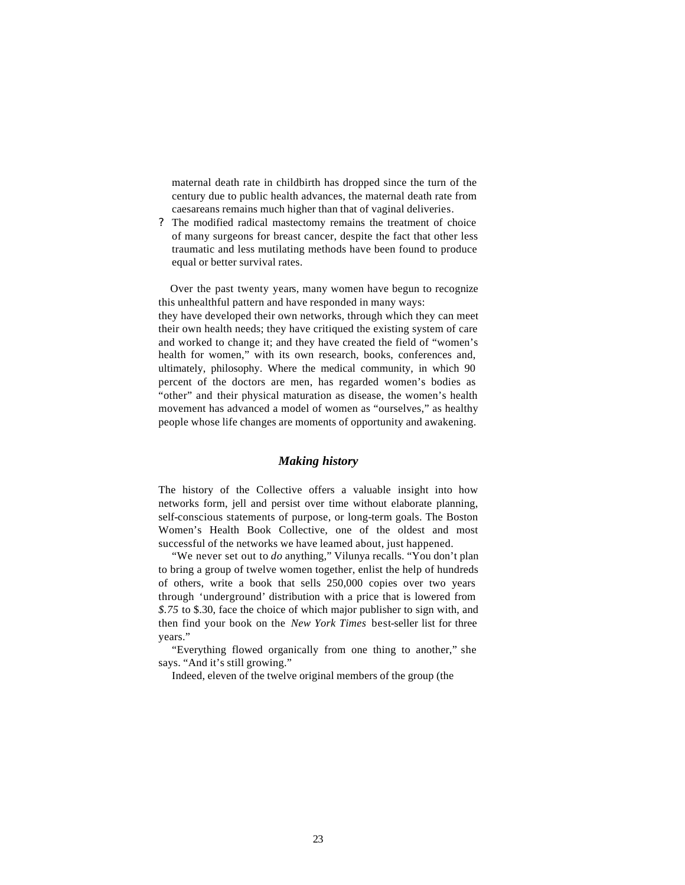maternal death rate in childbirth has dropped since the turn of the century due to public health advances, the maternal death rate from caesareans remains much higher than that of vaginal deliveries.

? The modified radical mastectomy remains the treatment of choice of many surgeons for breast cancer, despite the fact that other less traumatic and less mutilating methods have been found to produce equal or better survival rates.

Over the past twenty years, many women have begun to recognize this unhealthful pattern and have responded in many ways:

they have developed their own networks, through which they can meet their own health needs; they have critiqued the existing system of care and worked to change it; and they have created the field of "women's health for women," with its own research, books, conferences and, ultimately, philosophy. Where the medical community, in which 90 percent of the doctors are men, has regarded women's bodies as "other" and their physical maturation as disease, the women's health movement has advanced a model of women as "ourselves," as healthy people whose life changes are moments of opportunity and awakening.

## *Making history*

The history of the Collective offers a valuable insight into how networks form, jell and persist over time without elaborate planning, self-conscious statements of purpose, or long-term goals. The Boston Women's Health Book Collective, one of the oldest and most successful of the networks we have learned about, just happened.

"We never set out to *do* anything," Vilunya recalls. "You don't plan to bring a group of twelve women together, enlist the help of hundreds of others, write a book that sells 250,000 copies over two years through 'underground' distribution with a price that is lowered from *\$.75* to \$.30, face the choice of which major publisher to sign with, and then find your book on the *New York Times* best-seller list for three years."

"Everything flowed organically from one thing to another," she says. "And it's still growing."

Indeed, eleven of the twelve original members of the group (the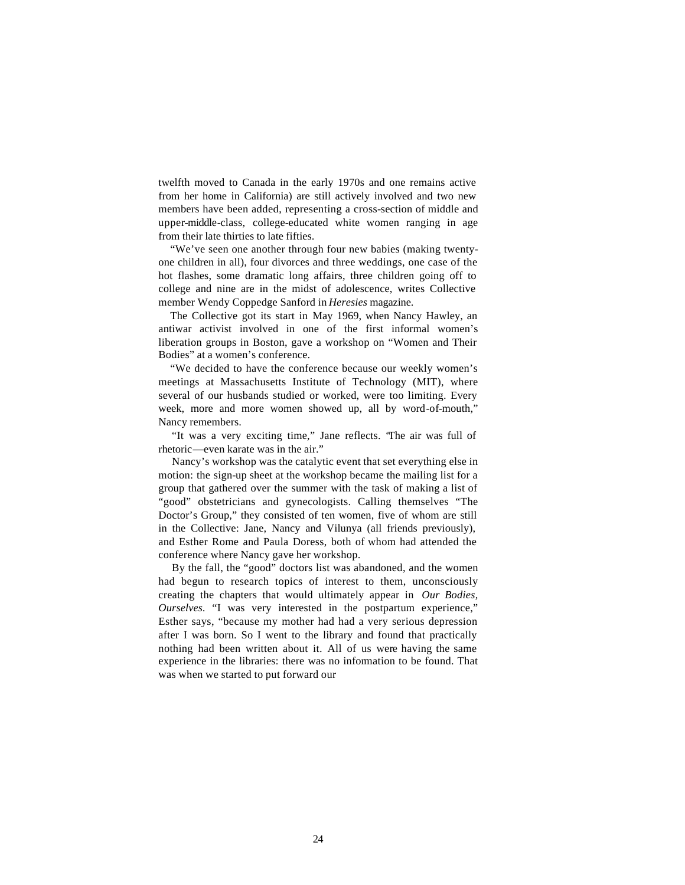twelfth moved to Canada in the early 1970s and one remains active from her home in California) are still actively involved and two new members have been added, representing a cross-section of middle and upper-middle-class, college-educated white women ranging in age from their late thirties to late fifties.

"We've seen one another through four new babies (making twentyone children in all), four divorces and three weddings, one case of the hot flashes, some dramatic long affairs, three children going off to college and nine are in the midst of adolescence, writes Collective member Wendy Coppedge Sanford in *Heresies* magazine.

The Collective got its start in May 1969, when Nancy Hawley, an antiwar activist involved in one of the first informal women's liberation groups in Boston, gave a workshop on "Women and Their Bodies" at a women's conference.

"We decided to have the conference because our weekly women's meetings at Massachusetts Institute of Technology (MIT), where several of our husbands studied or worked, were too limiting. Every week, more and more women showed up, all by word-of-mouth," Nancy remembers.

"It was a very exciting time," Jane reflects. "The air was full of rhetoric—even karate was in the air."

Nancy's workshop was the catalytic event that set everything else in motion: the sign-up sheet at the workshop became the mailing list for a group that gathered over the summer with the task of making a list of "good" obstetricians and gynecologists. Calling themselves "The Doctor's Group," they consisted of ten women, five of whom are still in the Collective: Jane, Nancy and Vilunya (all friends previously), and Esther Rome and Paula Doress, both of whom had attended the conference where Nancy gave her workshop.

By the fall, the "good" doctors list was abandoned, and the women had begun to research topics of interest to them, unconsciously creating the chapters that would ultimately appear in *Our Bodies, Ourselves.* "I was very interested in the postpartum experience," Esther says, "because my mother had had a very serious depression after I was born. So I went to the library and found that practically nothing had been written about it. All of us were having the same experience in the libraries: there was no information to be found. That was when we started to put forward our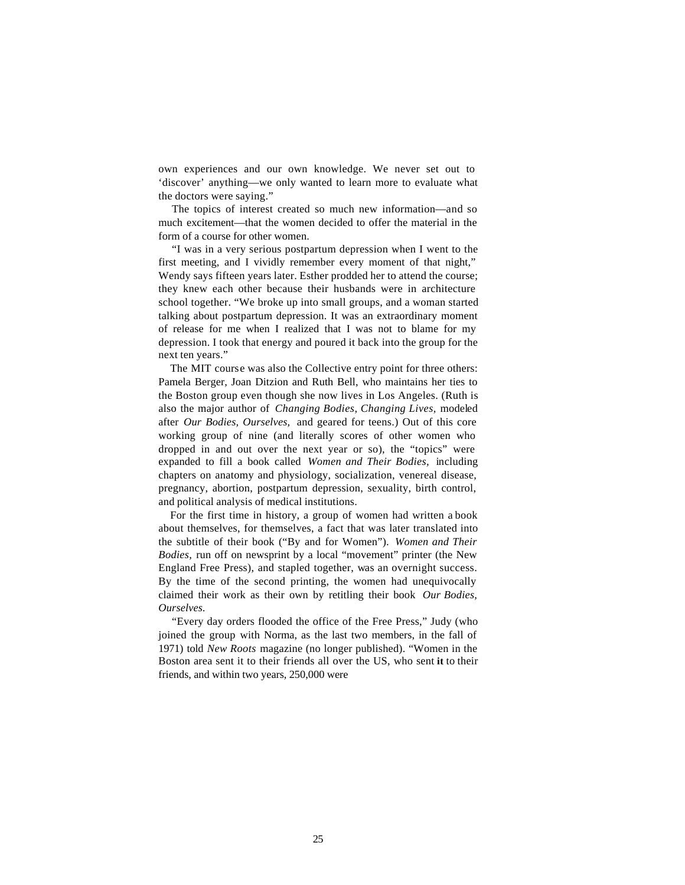own experiences and our own knowledge. We never set out to 'discover' anything—we only wanted to learn more to evaluate what the doctors were saying."

The topics of interest created so much new information—and so much excitement—that the women decided to offer the material in the form of a course for other women.

"I was in a very serious postpartum depression when I went to the first meeting, and I vividly remember every moment of that night," Wendy says fifteen years later. Esther prodded her to attend the course; they knew each other because their husbands were in architecture school together. "We broke up into small groups, and a woman started talking about postpartum depression. It was an extraordinary moment of release for me when I realized that I was not to blame for my depression. I took that energy and poured it back into the group for the next ten years."

The MIT course was also the Collective entry point for three others: Pamela Berger, Joan Ditzion and Ruth Bell, who maintains her ties to the Boston group even though she now lives in Los Angeles. (Ruth is also the major author of *Changing Bodies, Changing Lives,* modeled after *Our Bodies, Ourselves,* and geared for teens.) Out of this core working group of nine (and literally scores of other women who dropped in and out over the next year or so), the "topics" were expanded to fill a book called *Women and Their Bodies,* including chapters on anatomy and physiology, socialization, venereal disease, pregnancy, abortion, postpartum depression, sexuality, birth control, and political analysis of medical institutions.

For the first time in history, a group of women had written a book about themselves, for themselves, a fact that was later translated into the subtitle of their book ("By and for Women"). *Women and Their Bodies,* run off on newsprint by a local "movement" printer (the New England Free Press), and stapled together, was an overnight success. By the time of the second printing, the women had unequivocally claimed their work as their own by retitling their book *Our Bodies, Ourselves.*

"Every day orders flooded the office of the Free Press," Judy (who joined the group with Norma, as the last two members, in the fall of 1971) told *New Roots* magazine (no longer published). "Women in the Boston area sent it to their friends all over the US, who sent **it** to their friends, and within two years, 250,000 were